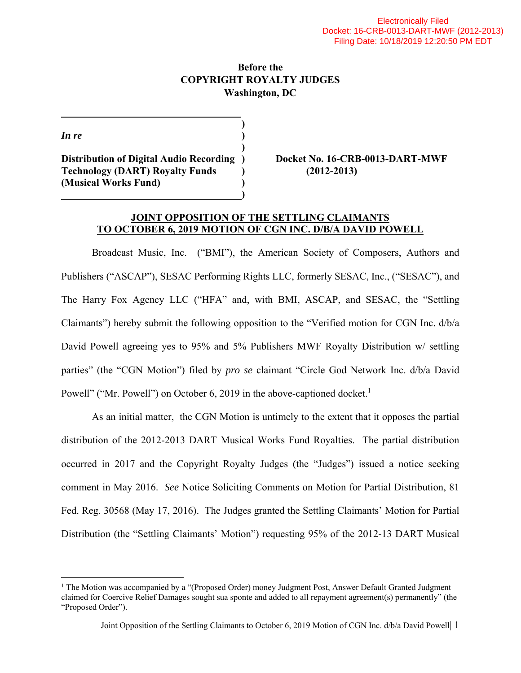## **Before the COPYRIGHT ROYALTY JUDGES Washington, DC**

*In re* (*)* (*)* 

 $\overline{a}$ 

 **) Distribution of Digital Audio Recording ) Docket No. 16-CRB-0013-DART-MWF Technology (DART) Royalty Funds ) (2012-2013) (Musical Works Fund) ) )** 

 **)** 

#### **JOINT OPPOSITION OF THE SETTLING CLAIMANTS TO OCTOBER 6, 2019 MOTION OF CGN INC. D/B/A DAVID POWELL**

Broadcast Music, Inc. ("BMI"), the American Society of Composers, Authors and Publishers ("ASCAP"), SESAC Performing Rights LLC, formerly SESAC, Inc., ("SESAC"), and The Harry Fox Agency LLC ("HFA" and, with BMI, ASCAP, and SESAC, the "Settling Claimants") hereby submit the following opposition to the "Verified motion for CGN Inc. d/b/a David Powell agreeing yes to 95% and 5% Publishers MWF Royalty Distribution w/ settling parties" (the "CGN Motion") filed by *pro se* claimant "Circle God Network Inc. d/b/a David Powell" ("Mr. Powell") on October 6, 2019 in the above-captioned docket.<sup>1</sup>

As an initial matter, the CGN Motion is untimely to the extent that it opposes the partial distribution of the 2012-2013 DART Musical Works Fund Royalties. The partial distribution occurred in 2017 and the Copyright Royalty Judges (the "Judges") issued a notice seeking comment in May 2016. *See* Notice Soliciting Comments on Motion for Partial Distribution, 81 Fed. Reg. 30568 (May 17, 2016). The Judges granted the Settling Claimants' Motion for Partial Distribution (the "Settling Claimants' Motion") requesting 95% of the 2012-13 DART Musical

<sup>&</sup>lt;sup>1</sup> The Motion was accompanied by a "(Proposed Order) money Judgment Post, Answer Default Granted Judgment claimed for Coercive Relief Damages sought sua sponte and added to all repayment agreement(s) permanently" (the "Proposed Order").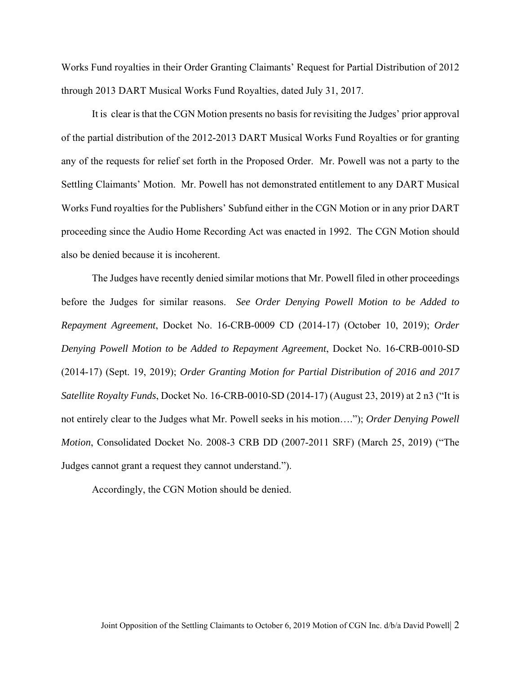Works Fund royalties in their Order Granting Claimants' Request for Partial Distribution of 2012 through 2013 DART Musical Works Fund Royalties, dated July 31, 2017.

It is clear is that the CGN Motion presents no basis for revisiting the Judges' prior approval of the partial distribution of the 2012-2013 DART Musical Works Fund Royalties or for granting any of the requests for relief set forth in the Proposed Order. Mr. Powell was not a party to the Settling Claimants' Motion. Mr. Powell has not demonstrated entitlement to any DART Musical Works Fund royalties for the Publishers' Subfund either in the CGN Motion or in any prior DART proceeding since the Audio Home Recording Act was enacted in 1992. The CGN Motion should also be denied because it is incoherent.

The Judges have recently denied similar motions that Mr. Powell filed in other proceedings before the Judges for similar reasons. *See Order Denying Powell Motion to be Added to Repayment Agreement*, Docket No. 16-CRB-0009 CD (2014-17) (October 10, 2019); *Order Denying Powell Motion to be Added to Repayment Agreement*, Docket No. 16-CRB-0010-SD (2014-17) (Sept. 19, 2019); *Order Granting Motion for Partial Distribution of 2016 and 2017 Satellite Royalty Funds*, Docket No. 16-CRB-0010-SD (2014-17) (August 23, 2019) at 2 n3 ("It is not entirely clear to the Judges what Mr. Powell seeks in his motion…."); *Order Denying Powell Motion*, Consolidated Docket No. 2008-3 CRB DD (2007-2011 SRF) (March 25, 2019) ("The Judges cannot grant a request they cannot understand.").

Accordingly, the CGN Motion should be denied.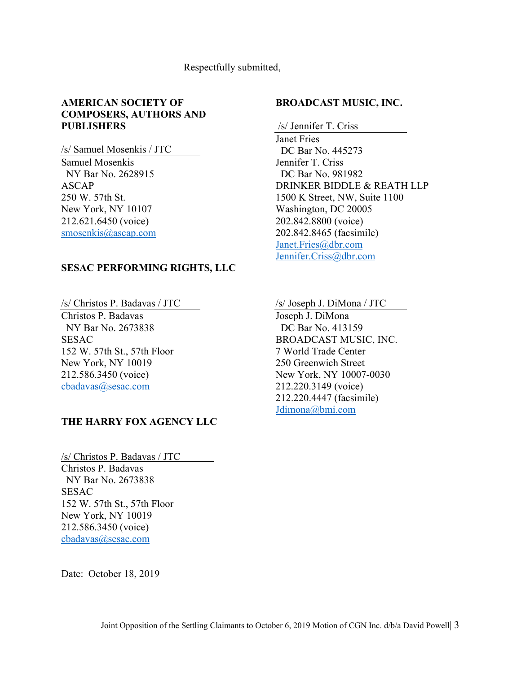#### Respectfully submitted,

## **AMERICAN SOCIETY OF COMPOSERS, AUTHORS AND PUBLISHERS**

/s/ Samuel Mosenkis / JTC Samuel Mosenkis NY Bar No. 2628915 ASCAP 250 W. 57th St. New York, NY 10107 212.621.6450 (voice) smosenkis@ascap.com

#### **SESAC PERFORMING RIGHTS, LLC**

/s/ Christos P. Badavas / JTC Christos P. Badavas NY Bar No. 2673838 SESAC 152 W. 57th St., 57th Floor New York, NY 10019 212.586.3450 (voice) cbadavas@sesac.com

### **THE HARRY FOX AGENCY LLC**

/s/ Christos P. Badavas / JTC Christos P. Badavas NY Bar No. 2673838 **SESAC** 152 W. 57th St., 57th Floor New York, NY 10019 212.586.3450 (voice) cbadavas@sesac.com

Date: October 18, 2019

#### **BROADCAST MUSIC, INC.**

/s/ Jennifer T. Criss

Janet Fries DC Bar No. 445273 Jennifer T. Criss DC Bar No. 981982 DRINKER BIDDLE & REATH LLP 1500 K Street, NW, Suite 1100 Washington, DC 20005 202.842.8800 (voice) 202.842.8465 (facsimile) Janet.Fries@dbr.com Jennifer.Criss@dbr.com

/s/ Joseph J. DiMona / JTC

Joseph J. DiMona DC Bar No. 413159 BROADCAST MUSIC, INC. 7 World Trade Center 250 Greenwich Street New York, NY 10007-0030 212.220.3149 (voice) 212.220.4447 (facsimile) Jdimona@bmi.com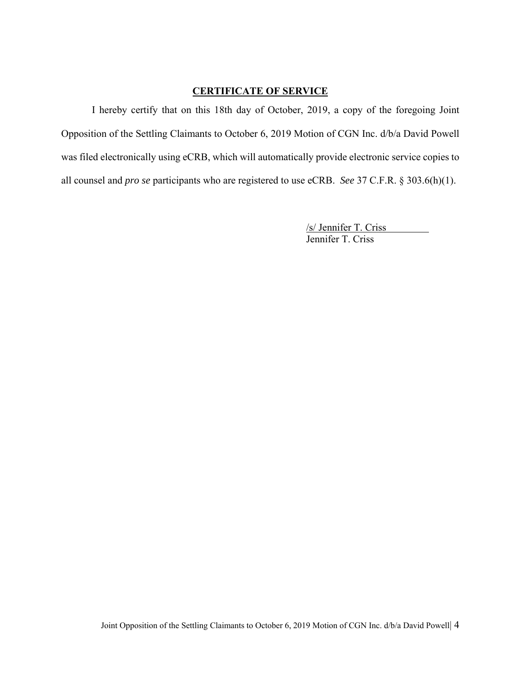## **CERTIFICATE OF SERVICE**

I hereby certify that on this 18th day of October, 2019, a copy of the foregoing Joint Opposition of the Settling Claimants to October 6, 2019 Motion of CGN Inc. d/b/a David Powell was filed electronically using eCRB, which will automatically provide electronic service copies to all counsel and *pro se* participants who are registered to use eCRB. *See* 37 C.F.R. § 303.6(h)(1).

 /s/ Jennifer T. Criss Jennifer T. Criss